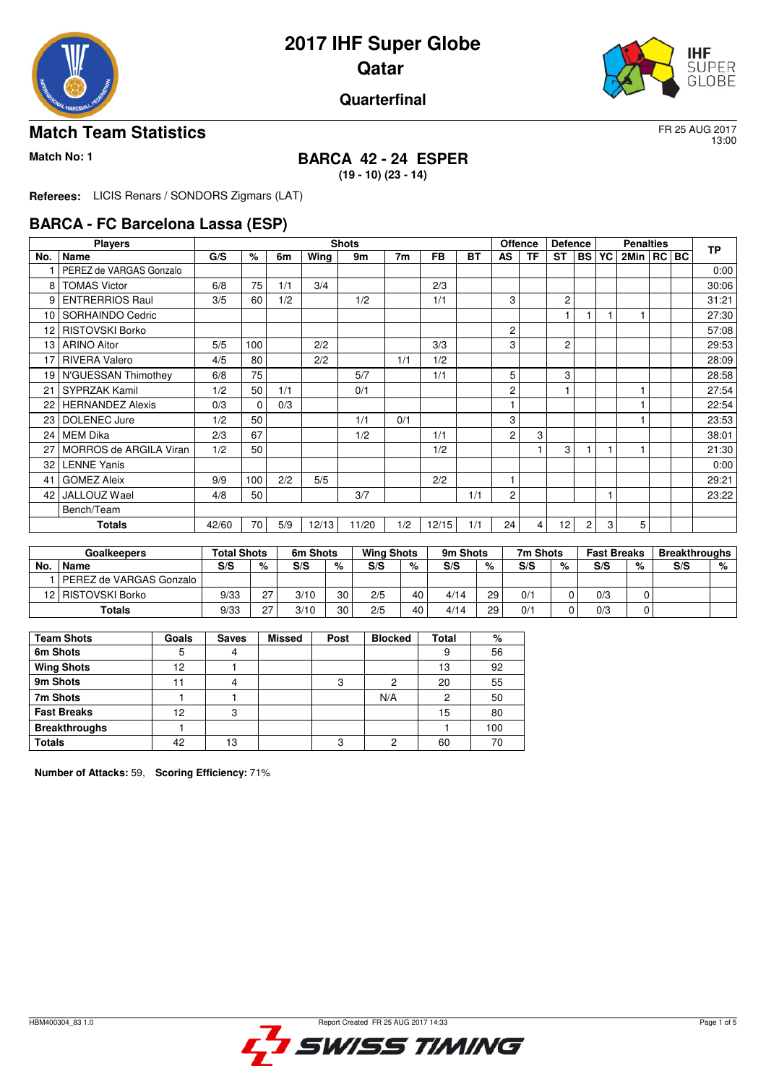

# **2017 IHF Super Globe Qatar**



#### **Quarterfinal**

#### **Match Team Statistics** FR 25 AUG 2017

13:00

# **Match No: 1 BARCA 42 - 24 ESPER**

**(19 - 10) (23 - 14)**

**Referees:** LICIS Renars / SONDORS Zigmars (LAT)

#### **BARCA - FC Barcelona Lassa (ESP)**

|     | <b>Players</b>          |       |             |     |       | <b>Shots</b> |     |           |           | <b>Offence</b> |           | <b>Defence</b> |                | <b>Penalties</b> |                | <b>TP</b> |       |
|-----|-------------------------|-------|-------------|-----|-------|--------------|-----|-----------|-----------|----------------|-----------|----------------|----------------|------------------|----------------|-----------|-------|
| No. | Name                    | G/S   | $\%$        | 6m  | Wing  | 9m           | 7m  | <b>FB</b> | <b>BT</b> | <b>AS</b>      | <b>TF</b> | <b>ST</b>      | <b>BS</b>      | YC               | 2Min   RC   BC |           |       |
|     | PEREZ de VARGAS Gonzalo |       |             |     |       |              |     |           |           |                |           |                |                |                  |                |           | 0:00  |
| 8   | <b>TOMAS Victor</b>     | 6/8   | 75          | 1/1 | 3/4   |              |     | 2/3       |           |                |           |                |                |                  |                |           | 30:06 |
| 9   | <b>ENTRERRIOS Raul</b>  | 3/5   | 60          | 1/2 |       | 1/2          |     | 1/1       |           | 3              |           | $\mathbf{2}$   |                |                  |                |           | 31:21 |
| 10  | SORHAINDO Cedric        |       |             |     |       |              |     |           |           |                |           |                |                |                  |                |           | 27:30 |
| 12  | <b>RISTOVSKI Borko</b>  |       |             |     |       |              |     |           |           | 2              |           |                |                |                  |                |           | 57:08 |
| 13  | <b>ARINO Aitor</b>      | 5/5   | 100         |     | 2/2   |              |     | 3/3       |           | 3              |           | $\overline{c}$ |                |                  |                |           | 29:53 |
| 17  | <b>RIVERA Valero</b>    | 4/5   | 80          |     | 2/2   |              | 1/1 | 1/2       |           |                |           |                |                |                  |                |           | 28:09 |
| 19  | N'GUESSAN Thimothey     | 6/8   | 75          |     |       | 5/7          |     | 1/1       |           | 5              |           | 3              |                |                  |                |           | 28:58 |
| 21  | <b>SYPRZAK Kamil</b>    | 1/2   | 50          | 1/1 |       | 0/1          |     |           |           | $\overline{c}$ |           |                |                |                  |                |           | 27:54 |
| 22  | <b>HERNANDEZ Alexis</b> | 0/3   | $\mathbf 0$ | 0/3 |       |              |     |           |           |                |           |                |                |                  |                |           | 22:54 |
| 23  | <b>DOLENEC Jure</b>     | 1/2   | 50          |     |       | 1/1          | 0/1 |           |           | 3              |           |                |                |                  |                |           | 23:53 |
| 24  | <b>MEM Dika</b>         | 2/3   | 67          |     |       | 1/2          |     | 1/1       |           | $\overline{c}$ | 3         |                |                |                  |                |           | 38:01 |
| 27  | MORROS de ARGILA Viran  | 1/2   | 50          |     |       |              |     | 1/2       |           |                |           | 3              |                |                  |                |           | 21:30 |
| 32  | <b>LENNE Yanis</b>      |       |             |     |       |              |     |           |           |                |           |                |                |                  |                |           | 0:00  |
| 41  | <b>GOMEZ Aleix</b>      | 9/9   | 100         | 2/2 | 5/5   |              |     | 2/2       |           |                |           |                |                |                  |                |           | 29:21 |
| 42  | JALLOUZ Wael            | 4/8   | 50          |     |       | 3/7          |     |           | 1/1       | $\overline{c}$ |           |                |                | 1                |                |           | 23:22 |
|     | Bench/Team              |       |             |     |       |              |     |           |           |                |           |                |                |                  |                |           |       |
|     | <b>Totals</b>           | 42/60 | 70          | 5/9 | 12/13 | 11/20        | 1/2 | 12/15     | 1/1       | 24             | 4         | 12             | $\overline{2}$ | 3                | 5              |           |       |

|     | Goalkeepers             | <b>Total Shots</b> |    | 6m Shots |    | <b>Wing Shots</b> |    | 9m Shots |    | 7m Shots |   | <b>Fast Breaks</b> |   | <b>Breakthroughs</b> |   |
|-----|-------------------------|--------------------|----|----------|----|-------------------|----|----------|----|----------|---|--------------------|---|----------------------|---|
| No. | Name                    | S/S                | %  | S/S      | %  | S/S               | %  | S/S      | %  | S/S      | % | S/S                | % | S/S                  | % |
|     | PEREZ de VARGAS Gonzalo |                    |    |          |    |                   |    |          |    |          |   |                    |   |                      |   |
|     | 12   RISTOVSKI Borko    | 9/33               | 07 | 3/10     | 30 | 2/5               | 40 | 4/14     | 29 | 0/1      |   | 0/3                |   |                      |   |
|     | Totals                  | 9/33               | 07 | 3/10     | 30 | 2/5               | 40 | 4/14     | 29 | 0/1      |   | 0/3                |   |                      |   |

| <b>Team Shots</b>    | Goals | <b>Saves</b> | <b>Missed</b> | Post | <b>Blocked</b> | Total | %   |
|----------------------|-------|--------------|---------------|------|----------------|-------|-----|
| 6m Shots             |       |              |               |      |                | 9     | 56  |
| <b>Wing Shots</b>    | 12    |              |               |      |                | 13    | 92  |
| 9m Shots             |       |              |               |      | 2              | 20    | 55  |
| 7m Shots             |       |              |               |      | N/A            | 2     | 50  |
| <b>Fast Breaks</b>   | 12    | 3            |               |      |                | 15    | 80  |
| <b>Breakthroughs</b> |       |              |               |      |                |       | 100 |
| <b>Totals</b>        | 42    | 13           |               |      | 2              | 60    | 70  |

**Number of Attacks:** 59, **Scoring Efficiency:** 71%

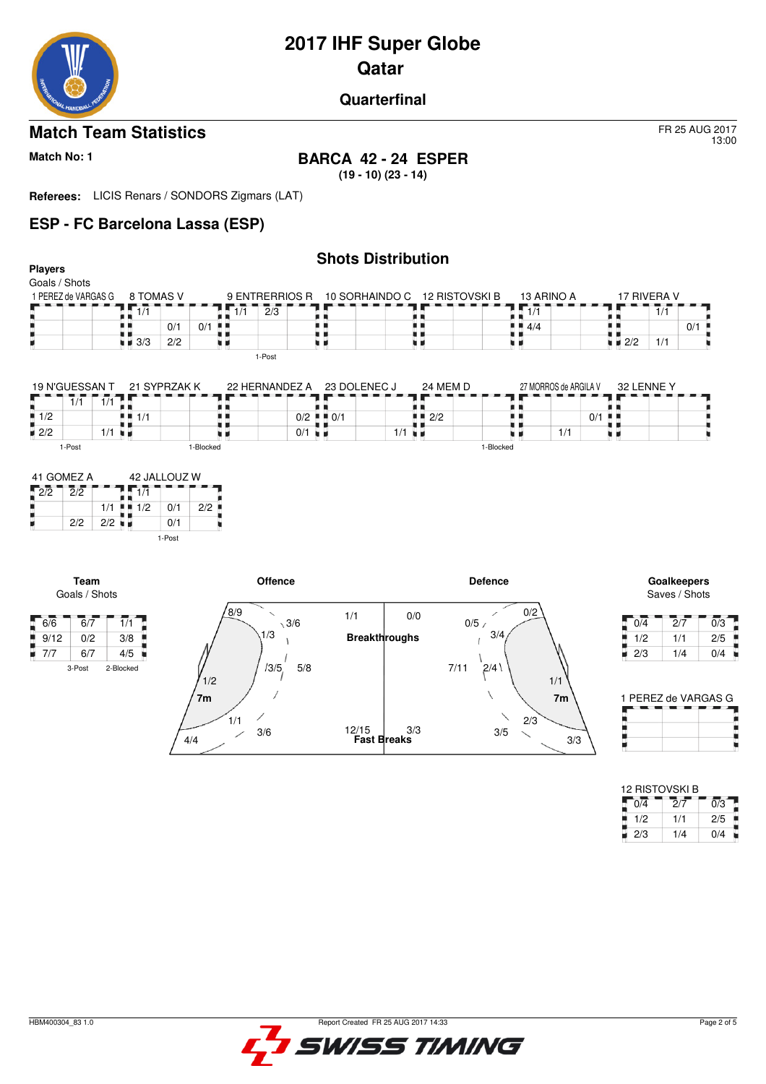# **2017 IHF Super Globe**

**Qatar** 

#### **Quarterfinal**

# **Match Team Statistics** FR 25 AUG 2017

#### **Match No: 1 BARCA 42 - 24 ESPER (19 - 10) (23 - 14)**

**Referees:** LICIS Renars / SONDORS Zigmars (LAT)

### **ESP - FC Barcelona Lassa (ESP)**

### **Shots Distribution**

| <b>Players</b>      |                    |     |       |     |                | onolo pioli idalioni |                               |                    |                                   |             |     |
|---------------------|--------------------|-----|-------|-----|----------------|----------------------|-------------------------------|--------------------|-----------------------------------|-------------|-----|
| Goals / Shots       |                    |     |       |     |                |                      |                               |                    |                                   |             |     |
| 1 PEREZ de VARGAS G | 8 TOMAS V          |     |       |     | 9 ENTRERRIOS R |                      | 10 SORHAINDO C 12 RISTOVSKI B | 13 ARINO A         |                                   | 17 RIVERA V |     |
|                     | 1/1                |     |       | 1/1 | 2/3            |                      |                               | 1/1                |                                   | 1/1         |     |
|                     |                    | 0/1 | $0/1$ |     |                |                      |                               | $\blacksquare$ 4/4 |                                   |             | 0/1 |
|                     | $\blacksquare$ 3/3 | 2/2 |       |     |                |                      |                               |                    | $\blacksquare$ $\blacksquare$ 2/2 | 1/1         |     |
|                     |                    |     |       |     | 1-Post         |                      |                               |                    |                                   |             |     |

| 19 N'GUESSAN T     |                     | 21 SYPRZAK K | 22 HERNANDEZ A | 23 DOLENEC J                      | 24 MEM D                          |           | 27 MORROS de ARGILA V | 32 LENNE Y |
|--------------------|---------------------|--------------|----------------|-----------------------------------|-----------------------------------|-----------|-----------------------|------------|
|                    | 1/1<br>$\mathbf{1}$ |              |                |                                   |                                   |           |                       |            |
| $\blacksquare$ 1/2 |                     | ■ ■ 1/1      |                | $0/2$ $\parallel$ $\parallel$ 0/1 | $\blacksquare$ $\blacksquare$ 2/2 |           | $0/1$                 |            |
| $\blacksquare$ 2/2 | 1/1                 | - 11         | $0/1 = 1$      |                                   | 1/1<br>л.                         |           | 1/1                   |            |
| 1-Post             |                     | 1-Blocked    |                |                                   |                                   | 1-Blocked |                       |            |

| 41 GOMEZ A |     |     | 42 JALLOUZ W |        |     |  |  |  |  |  |
|------------|-----|-----|--------------|--------|-----|--|--|--|--|--|
| 2/2        | 2/2 |     |              |        |     |  |  |  |  |  |
|            |     | 1/1 | 1/2          | 0/1    | 2/2 |  |  |  |  |  |
|            | 2/2 | 2/2 |              | 0/1    |     |  |  |  |  |  |
|            |     |     |              | 1-Post |     |  |  |  |  |  |



Saves / Shots

13:00

| 0/4 | 2/7 | 0/3 |
|-----|-----|-----|
| 1/2 | 1/1 | 2/5 |
| 2/3 | 1/4 | 0/4 |

| 1 PEREZ de VARGAS G |  |
|---------------------|--|
|                     |  |
|                     |  |
|                     |  |
|                     |  |

| 12 RISTOVSKI B |     |     |
|----------------|-----|-----|
| 0/4            | 2/7 | 0/3 |
| 1/2            | 1/1 | 2/5 |
| 2/3            | 1/4 | 0/4 |

Ì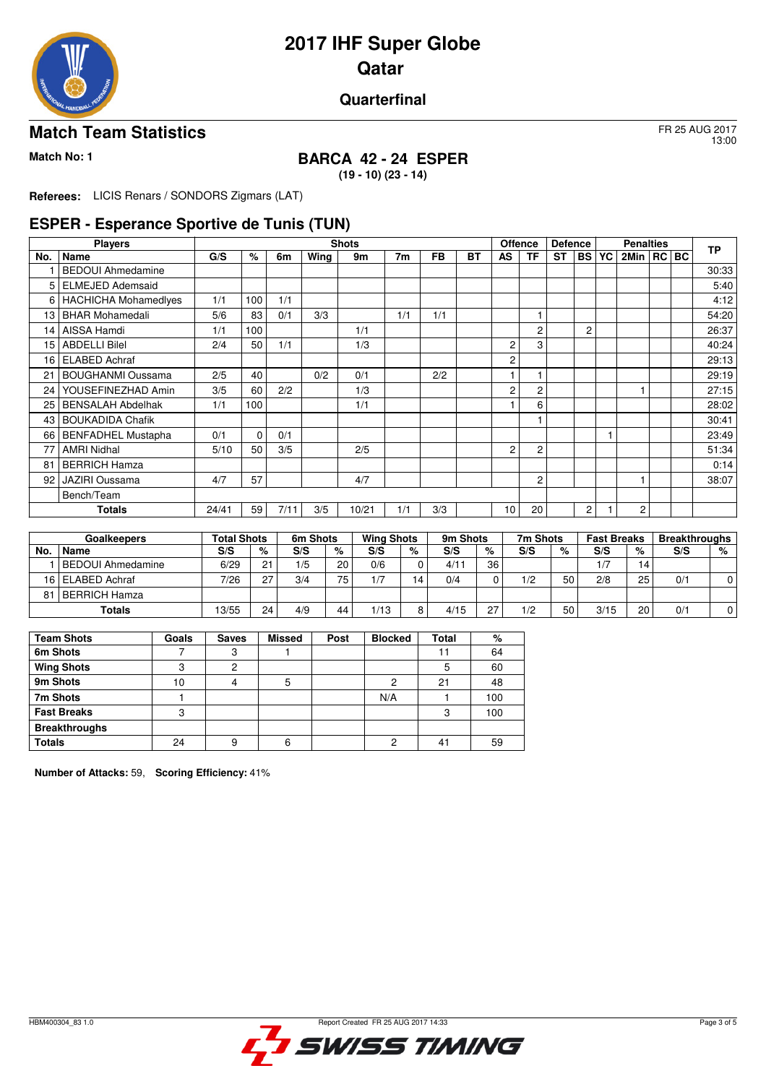

# **2017 IHF Super Globe Qatar**

#### **Quarterfinal**

### **Match Team Statistics** FR 25 AUG 2017

# **Match No: 1 BARCA 42 - 24 ESPER**

**(19 - 10) (23 - 14)**

**Referees:** LICIS Renars / SONDORS Zigmars (LAT)

#### **ESPER - Esperance Sportive de Tunis (TUN)**

|      | <b>Players</b>              |       |      |      |      | <b>Shots</b> |     |           |           | <b>Offence</b> |                | <b>Defence</b> |                | <b>Penalties</b> |  | <b>TP</b> |
|------|-----------------------------|-------|------|------|------|--------------|-----|-----------|-----------|----------------|----------------|----------------|----------------|------------------|--|-----------|
| No.  | <b>Name</b>                 | G/S   | $\%$ | 6m   | Wing | 9m           | 7m  | <b>FB</b> | <b>BT</b> | <b>AS</b>      | TF             | <b>ST</b>      | <b>BS YC</b>   | 2Min   RC   BC   |  |           |
|      | <b>BEDOUI Ahmedamine</b>    |       |      |      |      |              |     |           |           |                |                |                |                |                  |  | 30:33     |
| 5    | <b>ELMEJED Ademsaid</b>     |       |      |      |      |              |     |           |           |                |                |                |                |                  |  | 5:40      |
| 6    | <b>HACHICHA Mohamedlyes</b> | 1/1   | 100  | 1/1  |      |              |     |           |           |                |                |                |                |                  |  | 4:12      |
| 13   | <b>BHAR Mohamedali</b>      | 5/6   | 83   | 0/1  | 3/3  |              | 1/1 | 1/1       |           |                |                |                |                |                  |  | 54:20     |
| 14   | AISSA Hamdi                 | 1/1   | 100  |      |      | 1/1          |     |           |           |                | 2              |                | $\overline{c}$ |                  |  | 26:37     |
| 15   | <b>ABDELLI Bilel</b>        | 2/4   | 50   | 1/1  |      | 1/3          |     |           |           | 2              | 3              |                |                |                  |  | 40:24     |
| 16   | <b>ELABED Achraf</b>        |       |      |      |      |              |     |           |           | 2              |                |                |                |                  |  | 29:13     |
| 21   | <b>BOUGHANMI Oussama</b>    | 2/5   | 40   |      | 0/2  | 0/1          |     | 2/2       |           |                |                |                |                |                  |  | 29:19     |
| 24   | YOUSEFINEZHAD Amin          | 3/5   | 60   | 2/2  |      | 1/3          |     |           |           | $\overline{c}$ | 2              |                |                |                  |  | 27:15     |
| 25   | <b>BENSALAH Abdelhak</b>    | 1/1   | 100  |      |      | 1/1          |     |           |           |                | 6              |                |                |                  |  | 28:02     |
| 43   | <b>BOUKADIDA Chafik</b>     |       |      |      |      |              |     |           |           |                |                |                |                |                  |  | 30:41     |
| 66 I | BENFADHEL Mustapha          | 0/1   | 0    | 0/1  |      |              |     |           |           |                |                |                |                |                  |  | 23:49     |
| 77   | <b>AMRI Nidhal</b>          | 5/10  | 50   | 3/5  |      | 2/5          |     |           |           | $\overline{c}$ | $\overline{2}$ |                |                |                  |  | 51:34     |
| 81   | <b>BERRICH Hamza</b>        |       |      |      |      |              |     |           |           |                |                |                |                |                  |  | 0:14      |
| 92   | JAZIRI Oussama              | 4/7   | 57   |      |      | 4/7          |     |           |           |                | 2              |                |                |                  |  | 38:07     |
|      | Bench/Team                  |       |      |      |      |              |     |           |           |                |                |                |                |                  |  |           |
|      | Totals                      | 24/41 | 59   | 7/11 | 3/5  | 10/21        | 1/1 | 3/3       |           | 10             | 20             |                | $\overline{2}$ | $\overline{2}$   |  |           |

|     | <b>Goalkeepers</b> | <b>Total Shots</b> |    | 6m Shots |    | <b>Wing Shots</b> |                         | 9m Shots |        | 7m Shots |    | <b>Fast Breaks</b> |          | <b>Breakthroughs</b> |   |
|-----|--------------------|--------------------|----|----------|----|-------------------|-------------------------|----------|--------|----------|----|--------------------|----------|----------------------|---|
| No. | Name               | S/S                | %  | S/S      | %  | S/S               | %                       | S/S      | %      | S/S      | %  | S/S                | %        | S/S                  | % |
|     | BEDOUI Ahmedamine  | 6/29               | 21 | 1/5      | 20 | 0/6               |                         | 4/11     | 36     |          |    | 1/7                | <b>4</b> |                      |   |
|     | 16 ELABED Achraf   | 7/26               | 27 | 3/4      | 75 | $\sqrt{7}$        | $\overline{\mathbf{4}}$ | 0/4      |        | 1/2      | 50 | 2/8                | 25       | 0/1                  |   |
| 81  | l BERRICH Hamza    |                    |    |          |    |                   |                         |          |        |          |    |                    |          |                      |   |
|     | Totals             | 13/55              | 24 | 4/9      | 44 | 1/13              | Ω                       | 4/15     | $\sim$ | 1/2      | 50 | 3/15               | 20       | 0/1                  |   |

| <b>Team Shots</b>    | Goals | <b>Saves</b> | <b>Missed</b> | Post | <b>Blocked</b> | Total          | %   |
|----------------------|-------|--------------|---------------|------|----------------|----------------|-----|
| 6m Shots             |       | 3            |               |      |                | 11             | 64  |
| <b>Wing Shots</b>    | 3     | 2            |               |      |                | 5              | 60  |
| 9m Shots             | 10    |              | 5             |      | 2              | 21             | 48  |
| 7m Shots             |       |              |               |      | N/A            |                | 100 |
| <b>Fast Breaks</b>   | 3     |              |               |      |                | 3              | 100 |
| <b>Breakthroughs</b> |       |              |               |      |                |                |     |
| <b>Totals</b>        | 24    | 9            | 6             |      | 2              | 4 <sup>1</sup> | 59  |

**Number of Attacks:** 59, **Scoring Efficiency:** 41%



13:00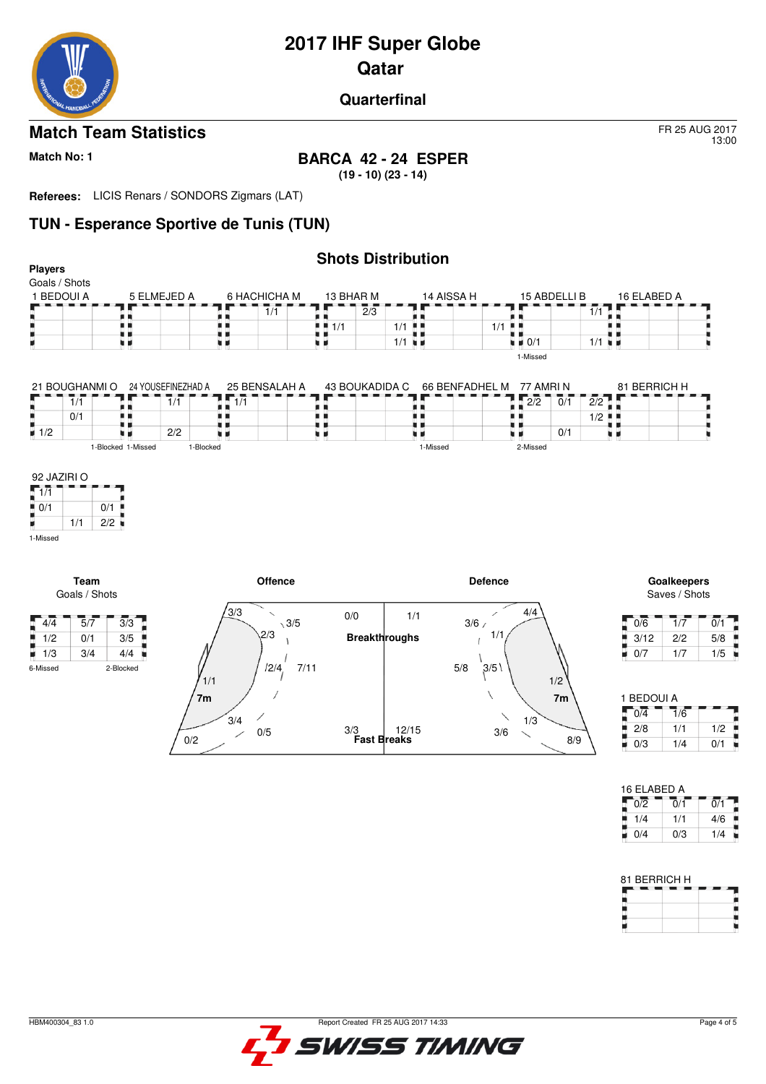

# **2017 IHF Super Globe Qatar**

#### **Quarterfinal**

### **Match Team Statistics** FR 25 AUG 2017

# **Match No: 1 BARCA 42 - 24 ESPER**

**(19 - 10) (23 - 14)**

**Referees:** LICIS Renars / SONDORS Zigmars (LAT)

# **TUN - Esperance Sportive de Tunis (TUN)**

| <b>Players</b>           |                             |                    |                             |                  |                                          | <b>Shots Distribution</b> |                      |                |                                   |                             |                      |                   |                             |                  |
|--------------------------|-----------------------------|--------------------|-----------------------------|------------------|------------------------------------------|---------------------------|----------------------|----------------|-----------------------------------|-----------------------------|----------------------|-------------------|-----------------------------|------------------|
| Goals / Shots            |                             |                    |                             |                  |                                          |                           |                      |                |                                   |                             |                      |                   |                             |                  |
| 1 BEDOUI A               |                             |                    | 5 ELMEJED A                 | 6 HACHICHA M     |                                          | 13 BHAR M                 |                      | 14 AISSA H     |                                   | 15 ABDELLI B                |                      | 16 ELABED A       |                             |                  |
|                          |                             |                    |                             |                  | $\overline{1}/\overline{1}$              | $\frac{1}{2/3}$           |                      |                |                                   |                             | 1/1                  |                   |                             |                  |
| ٠                        |                             | . .                |                             | . .              |                                          | $-1/1$                    | $1/1$ $\blacksquare$ |                | 1/1<br>. .                        |                             |                      |                   |                             |                  |
| н                        |                             | . .<br>u p         |                             | u p              |                                          | . .<br>9 H                | $1/1$ $\blacksquare$ |                | $\blacksquare$ $\blacksquare$ 0/1 |                             | $1/1$ $\blacksquare$ |                   |                             |                  |
|                          |                             |                    |                             |                  |                                          |                           |                      |                | 1-Missed                          |                             |                      |                   |                             |                  |
|                          | 21 BOUGHANMI O              |                    | 24 YOUSEFINEZHAD A          | 25 BENSALAH A    |                                          | 43 BOUKADIDA C            |                      | 66 BENFADHEL M |                                   | 77 AMRIN                    |                      | 81 BERRICH H      |                             |                  |
|                          | $\overline{1}/\overline{1}$ |                    | $\overline{1}/\overline{1}$ | $\overline{1/1}$ |                                          | . .                       |                      |                | 2/2                               | $\overline{0}/\overline{1}$ | 2/2                  |                   |                             |                  |
| n                        | 0/1                         | . .                |                             | ٠                |                                          | . .                       |                      |                | . .                               |                             | $1/2$ $\frac{1}{2}$  |                   |                             |                  |
| ü.<br>$\blacksquare$ 1/2 |                             | uв                 | 2/2                         | . .              |                                          | י ב<br>. .                | . .                  |                | ۰.                                | 0/1                         |                      | . .               |                             |                  |
|                          |                             | 1-Blocked 1-Missed | 1-Blocked                   |                  |                                          |                           |                      | 1-Missed       | 2-Missed                          |                             |                      |                   |                             |                  |
|                          | <b>Team</b>                 |                    |                             |                  | <b>Offence</b>                           |                           |                      |                | <b>Defence</b>                    |                             |                      |                   | Goalkeepers                 |                  |
|                          | Goals / Shots               |                    |                             |                  |                                          |                           |                      |                |                                   |                             |                      |                   | Saves / Shots               |                  |
| $\sqrt{4/4}$             | $\overline{5}/\overline{7}$ | $\overline{3}/3$   |                             | 3/3              | $\overline{\phantom{0}}$<br>$\sqrt{3/5}$ | 0/0                       | 1/1                  | 3/6/           | 4/4<br>╱                          |                             |                      | 0/6               | $\overline{1}/\overline{7}$ | $\overline{0/1}$ |
| $\frac{1}{2}$ 1/2        | 0/1                         | 3/5                |                             | 2/3              |                                          |                           | <b>Breakthroughs</b> |                | 1/1                               |                             |                      | 3/12              | 2/2                         | 5/8              |
| 1/3<br>۰                 | 3/4                         | 4/4                |                             |                  |                                          |                           |                      |                |                                   |                             |                      | 0/7<br>۰          | 1/7                         | 1/5              |
| 6-Missed                 | 2-Blocked                   |                    |                             | 1/1              | 12/4<br>7/11                             |                           |                      | 5/8            | 3/5                               | 1/2                         |                      |                   |                             |                  |
|                          |                             |                    | 7 <sub>m</sub>              |                  |                                          |                           |                      |                |                                   | 7m                          |                      | 1 BEDOUI A<br>0/4 | 1/6                         |                  |
|                          |                             |                    |                             | 3/4              |                                          | 3/3                       | 12/15                |                | 1/3                               |                             |                      | 2/8               | 1/1                         | 1/2              |
|                          |                             |                    | 0/2                         | 0/5              |                                          |                           | <b>Fast Breaks</b>   |                | 3/6<br>╲                          | 8/9                         |                      | $\bigcap$         | 1/A                         | $\Omega/1$       |

 $1/1$   $4/6$  $0/3$   $1/4$ 

× Е

13:00

| 81 BERRICH H |  |  |
|--------------|--|--|
|              |  |  |

۳ ť